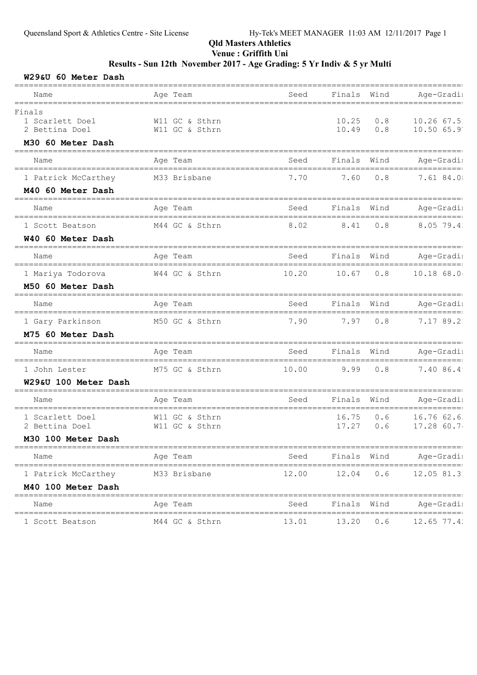| W29&U 60 Meter Dash                         |                                  |                                             |                  |            |                                          |
|---------------------------------------------|----------------------------------|---------------------------------------------|------------------|------------|------------------------------------------|
| Name<br>===========                         | Age Team                         | Seed                                        | Finals           | Wind       | Age-Gradi                                |
| Finals<br>1 Scarlett Doel<br>2 Bettina Doel | W11 GC & Sthrn<br>W11 GC & Sthrn |                                             | 10.25<br>10.49   | 0.8<br>0.8 | 10.26 67.5<br>10.50 65.9                 |
| M30 60 Meter Dash                           |                                  |                                             |                  |            | --------------------                     |
| Name                                        | Age Team                         | Seed                                        | Finals           | Wind       | Age-Gradi                                |
| 1 Patrick McCarthey<br>M40 60 Meter Dash    | M33 Brisbane                     | 7.70                                        | 7.60             | 0.8        | 7.61 84.0                                |
| Name                                        | Age Team                         | Seed<br>----------------------------------- | Finals Wind      |            | Age-Gradi                                |
| 1 Scott Beatson<br>W40 60 Meter Dash        | M44 GC & Sthrn                   | 8.02                                        | 8.41             | 0.8        | =========<br>8.05 79.4                   |
| Name                                        | Age Team                         | Seed                                        | Finals           | Wind       | Age-Gradi                                |
| 1 Mariya Todorova<br>M50 60 Meter Dash      | W44 GC & Sthrn                   | 10.20                                       | 10.67            | 0.8        | 10.18 68.0                               |
| Name                                        | Age Team                         | Seed                                        | Finals           | Wind       | Age-Gradi                                |
| 1 Gary Parkinson<br>M75 60 Meter Dash       | M50 GC & Sthrn                   | 7.90                                        | 7.97             | 0.8        | 7.17 89.2                                |
| Name                                        | Age Team                         | Seed                                        | Finals           | Wind       | ===========================<br>Age-Gradi |
| 1 John Lester<br>W29&U 100 Meter Dash       | M75 GC & Sthrn                   | 10.00                                       | 9.99             | 0.8        | 7.40 86.4                                |
| Name                                        | Age Team                         | Seed                                        | Finals           | Wind       | Age-Gradi                                |
| 1 Scarlett Doel<br>2 Bettina Doel           | W11 GC & Sthrn<br>W11 GC & Sthrn |                                             | 16.75<br>17.27   | 0.6<br>0.6 | 16.76 62.6<br>17.28 60.7                 |
| M30 100 Meter Dash                          |                                  |                                             |                  |            |                                          |
| Name                                        | Age Team                         | Seed                                        | Finals Wind      |            | Age-Gradi                                |
| 1 Patrick McCarthey<br>M40 100 Meter Dash   | M33 Brisbane                     |                                             | 12.00 12.04      | 0.6        | 12.05 81.3                               |
| Name                                        | Age Team                         |                                             | Seed Finals Wind |            | Aqe-Gradi:                               |
| 1 Scott Beatson                             | M44 GC & Sthrn                   |                                             | 13.01 13.20      | 0.6        | $12.65$ 77.4                             |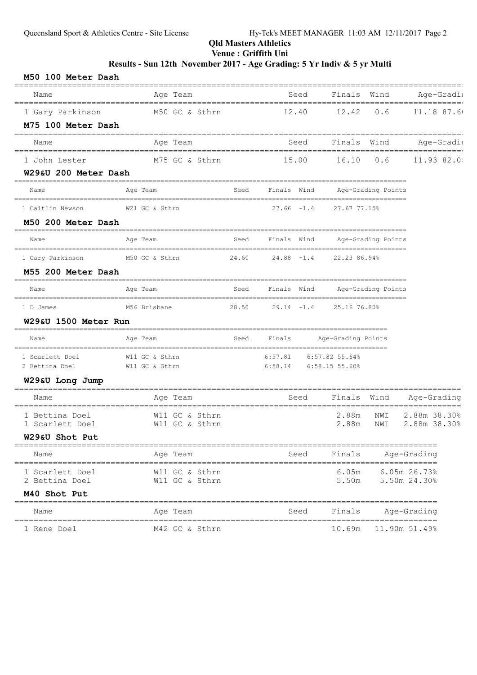## Qld Masters Athletics

#### Venue : Griffith Uni

| M50 100 Meter Dash                                                 | =========                                             |       |                        |                                                 |                          |                              |
|--------------------------------------------------------------------|-------------------------------------------------------|-------|------------------------|-------------------------------------------------|--------------------------|------------------------------|
| Name                                                               | Age Team                                              |       | Seed                   | Finals Wind                                     |                          | Age-Gradi<br>========        |
| 1 Gary Parkinson<br>M75 100 Meter Dash                             | M50 GC & Sthrn                                        |       | 12.40                  | 12.42                                           | 0.6                      | 11.18 87.6                   |
| Name                                                               | Age Team                                              |       | Seed                   | Finals Wind                                     |                          | Age-Gradi                    |
| 1 John Lester<br>W29&U 200 Meter Dash                              | M75 GC & Sthrn                                        |       | 15.00                  | 16.10                                           | 0.6                      | 11.93 82.0                   |
| Name                                                               | Age Team                                              |       | Seed Finals Wind       |                                                 | Age-Grading Points       |                              |
| 1 Caitlin Newson<br>M50 200 Meter Dash                             | W21 GC & Sthrn                                        |       |                        | $27.66 -1.4$ 27.67 77.15%                       |                          |                              |
| Name                                                               | Age Team                                              | Seed  |                        | Finals Wind Age-Grading Points                  |                          |                              |
| 1 Gary Parkinson<br>M55 200 Meter Dash                             | M50 GC & Sthrn $24.60$ $24.88$ $-1.4$ $22.23$ 86.94%  |       |                        |                                                 |                          |                              |
| Name                                                               | Age Team                                              | Seed  | Finals Wind            |                                                 | Age-Grading Points       |                              |
| 1 D James<br>W29&U 1500 Meter Run                                  | M56 Brisbane                                          | 28.50 | $29.14 - 1.4$          | 25.16 76.80%                                    |                          |                              |
| Name                                                               | Age Team                                              | Seed  | Finals                 | -------------------------<br>Age-Grading Points |                          |                              |
| 1 Scarlett Doel<br>2 Bettina Doel                                  | W11 GC & Sthrn<br>W11 GC & Sthrn                      |       | 6:57.81<br>6:58.14     | $6:57.82$ 55.64%<br>$6:58.15$ 55.60%            |                          |                              |
| W29&U Long Jump<br>Name                                            | Age Team                                              |       | Seed                   | Finals Wind                                     |                          | Age-Grading                  |
| 1 Bettina Doel<br>1 Scarlett Doel<br>W29&U Shot Put                | =================<br>W11 GC & Sthrn<br>W11 GC & Sthrn |       |                        | 2.88m<br>2.88m                                  | NWI<br>NWI               | 2.88m 38.30%<br>2.88m 38.30% |
| Name                                                               | Age Team                                              |       | Seed                   | Finals                                          |                          | Age-Grading                  |
| =============<br>1 Scarlett Doel<br>2 Bettina Doel<br>M40 Shot Put | W11 GC & Sthrn<br>W11 GC & Sthrn                      |       | ---------------------- | 6.05m<br>5.50m                                  | _______                  | 6.05m 26.73%<br>5.50m 24.30% |
| Name                                                               | =========<br>Age Team                                 |       | Seed                   | Finals                                          |                          | Age-Grading                  |
| 1 Rene Doel                                                        | M42 GC & Sthrn                                        |       |                        | 10.69m                                          | =======<br>11.90m 51.49% |                              |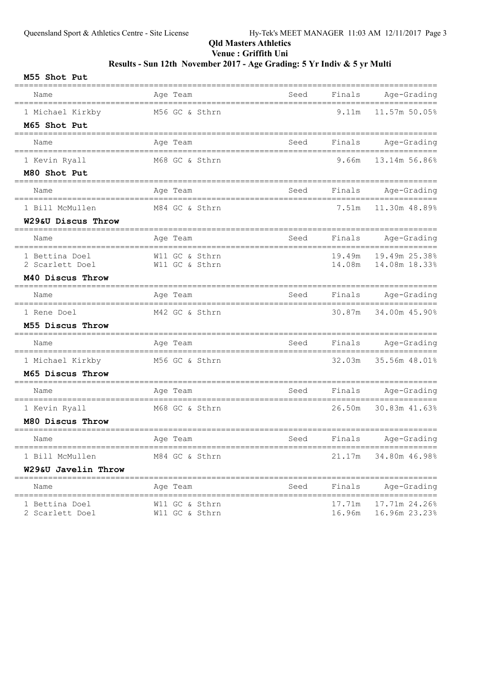# Qld Masters Athletics

### Venue : Griffith Uni

| M55 Shot Put                                     |                                  |                             |                  |                                |
|--------------------------------------------------|----------------------------------|-----------------------------|------------------|--------------------------------|
| Name                                             | Age Team                         | Seed                        | Finals           | Age-Grading                    |
| 1 Michael Kirkby                                 | M56 GC & Sthrn                   | ========                    | 9.11m            | 11.57m 50.05%                  |
| M65 Shot Put<br>=======================          |                                  |                             |                  |                                |
| Name                                             | Age Team                         | Seed                        | Finals           | Age-Grading<br>==========      |
| ===============================<br>1 Kevin Ryall | M68 GC & Sthrn                   | =========================== | 9.66m            | 13.14m 56.86%                  |
| M80 Shot Put                                     |                                  |                             |                  |                                |
| Name<br>===============================          | Age Team                         | Seed                        | Finals           | Age-Grading<br>===========     |
| 1 Bill McMullen                                  | M84 GC & Sthrn                   | =========================== | 7.51m            | 11.30m 48.89%                  |
| W29&U Discus Throw                               |                                  |                             |                  |                                |
| Name                                             | Age Team                         | Seed<br>==========          | Finals           | Age-Grading                    |
| 1 Bettina Doel                                   | W11 GC & Sthrn                   |                             | 19.49m           | 19.49m 25.38%                  |
| 2 Scarlett Doel<br>M40 Discus Throw              | W11 GC & Sthrn                   |                             | 14.08m           | 14.08m 18.33%                  |
|                                                  |                                  |                             |                  |                                |
| Name                                             | Age Team                         | Seed                        | Finals           | Age-Grading                    |
| 1 Rene Doel                                      | M42 GC & Sthrn                   |                             | 30.87m           | 34.00m 45.90%                  |
| M55 Discus Throw                                 |                                  |                             |                  | =============================  |
| Name                                             | Age Team                         | Seed                        | Finals           | Age-Grading                    |
| 1 Michael Kirkby                                 | M56 GC & Sthrn                   |                             | 32.03m           | 35.56m 48.01%                  |
| M65 Discus Throw                                 | ==========                       |                             |                  |                                |
| Name                                             | Age Team                         | Seed                        | Finals           | Age-Grading                    |
| 1 Kevin Ryall                                    | M68 GC & Sthrn                   |                             | 26.50m           | 30.83m 41.63%                  |
| M80 Discus Throw<br>=====================        |                                  |                             |                  |                                |
| Name                                             | Age Team                         | Seed                        | Finals           | Age-Grading                    |
| 1 Bill McMullen                                  | M84 GC & Sthrn                   |                             | 21.17m           | 34.80m 46.98%                  |
| W29&U Javelin Throw                              |                                  |                             |                  |                                |
| Name                                             | Age Team                         | Seed                        | Finals           | Age-Grading                    |
| 1 Bettina Doel<br>2 Scarlett Doel                | W11 GC & Sthrn<br>W11 GC & Sthrn |                             | 17.71m<br>16.96m | 17.71m 24.26%<br>16.96m 23.23% |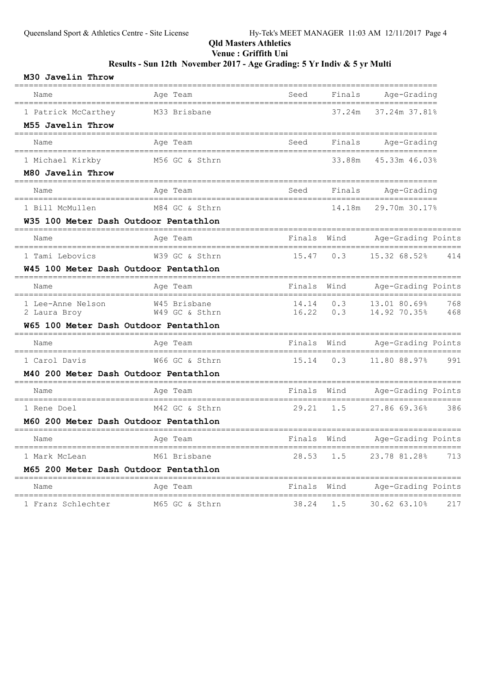| M30 Javelin Throw                                     |                                           |                           |        |                    |     |
|-------------------------------------------------------|-------------------------------------------|---------------------------|--------|--------------------|-----|
| Name                                                  | Age Team                                  | Seed                      | Finals | Age-Grading        |     |
| 1 Patrick McCarthey                                   | M33 Brisbane                              |                           | 37.24m | 37.24m 37.81%      |     |
| M55 Javelin Throw                                     |                                           |                           |        |                    |     |
| Name                                                  | Age Team                                  | Seed                      | Finals | Age-Grading        |     |
| 1 Michael Kirkby                                      | M56 GC & Sthrn                            |                           | 33.88m | 45.33m 46.03%      |     |
| M80 Javelin Throw                                     |                                           |                           |        |                    |     |
| Name                                                  | Age Team                                  | Seed                      | Finals | Age-Grading        |     |
| 1 Bill McMullen                                       | M84 GC & Sthrn                            |                           | 14.18m | 29.70m 30.17%      |     |
| W35 100 Meter Dash Outdoor Pentathlon                 |                                           |                           |        |                    |     |
| Name                                                  | Age Team                                  | Finals Wind               |        | Age-Grading Points |     |
| 1 Tami Lebovics                                       | W39 GC & Sthrn                            | 15.47                     | 0.3    | 15.32 68.52%       | 414 |
| W45 100 Meter Dash Outdoor Pentathlon                 |                                           |                           |        |                    |     |
| Name                                                  | Age Team<br>--------------                | Finals                    | Wind   | Age-Grading Points |     |
| 1 Lee-Anne Nelson                                     | W45 Brisbane                              | 14.14                     | 0.3    | 13.01 80.69%       | 768 |
| 2 Laura Broy<br>W65 100 Meter Dash Outdoor Pentathlon | W49 GC & Sthrn                            | 16.22                     | 0.3    | 14.92 70.35%       | 468 |
| Name                                                  | Age Team                                  | Finals Wind               |        | Age-Grading Points |     |
| 1 Carol Davis                                         | -----------------------<br>W66 GC & Sthrn | 15.14                     | 0.3    | 11.80 88.97% 991   |     |
| M40 200 Meter Dash Outdoor Pentathlon                 |                                           |                           |        |                    |     |
| Name                                                  | Age Team                                  | Finals Wind               |        | Age-Grading Points |     |
| 1 Rene Doel                                           | M42 GC & Sthrn                            | ________________<br>29.21 | 1.5    | 27.86 69.36%       | 386 |
| M60 200 Meter Dash Outdoor Pentathlon                 |                                           |                           |        |                    |     |
| Name                                                  | Age Team                                  | Finals Wind               |        | Age-Grading Points |     |
| 1 Mark McLean                                         | M61 Brisbane                              | 28.53                     | 1.5    | 23.78 81.28%       | 713 |
| M65 200 Meter Dash Outdoor Pentathlon                 |                                           |                           |        |                    |     |
| Name                                                  | Age Team                                  | Finals Wind               |        | Age-Grading Points |     |
| 1 Franz Schlechter                                    | M65 GC & Sthrn                            | 38.24                     | 1.5    | 30.62 63.10%       | 217 |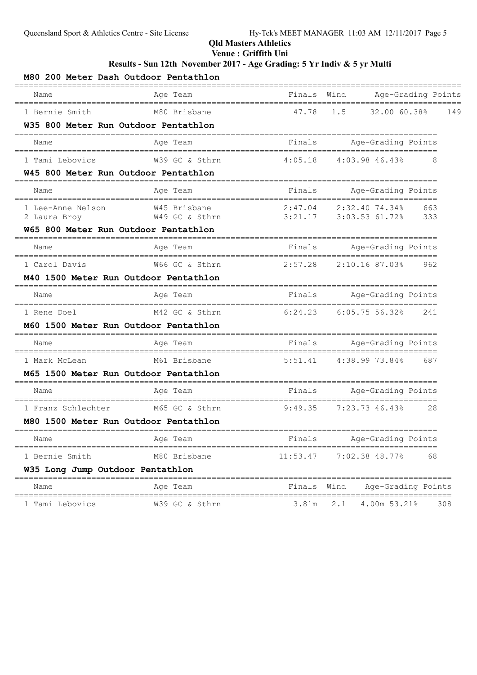| M80 200 Meter Dash Outdoor Pentathlon                                        |                                |                                            |                                 |                     |
|------------------------------------------------------------------------------|--------------------------------|--------------------------------------------|---------------------------------|---------------------|
| Name                                                                         | Age Team                       | Finals                                     | Wind                            | Age-Grading Points  |
| 1 Bernie Smith                                                               | M80 Brisbane                   | 47.78                                      | 1.5                             | 32.00 60.38%<br>149 |
| W35 800 Meter Run Outdoor Pentathlon                                         |                                |                                            |                                 |                     |
| Name                                                                         | Age Team                       | Finals                                     | Age-Grading Points              |                     |
| 1 Tami Lebovics                                                              | W39 GC & Sthrn                 | 4:05.18                                    | $4:03.98$ 46.43%                | 8                   |
| W45 800 Meter Run Outdoor Pentathlon                                         | ____________                   |                                            | ------------------              |                     |
| Name                                                                         | Age Team                       | Finals                                     | Age-Grading Points              |                     |
| 1 Lee-Anne Nelson<br>2 Laura Broy                                            | W45 Brisbane<br>W49 GC & Sthrn | 2:47.04<br>3:21.17                         | 2:32.4074.34%<br>3:03.53 61.72% | 663<br>333          |
| W65 800 Meter Run Outdoor Pentathlon                                         |                                |                                            |                                 |                     |
| Name                                                                         | Age Team                       | Finals                                     | Age-Grading Points              |                     |
| 1 Carol Davis                                                                | W66 GC & Sthrn                 | 2:57.28                                    | 2:10.16 87.03%                  | 962                 |
| M40 1500 Meter Run Outdoor Pentathlon                                        |                                |                                            |                                 |                     |
| Name                                                                         | Age Team                       | Finals                                     | Age-Grading Points              |                     |
| 1 Rene Doel                                                                  | M42 GC & Sthrn                 | 6:24.23                                    | 6:05.75.56.32                   | 241                 |
| M60 1500 Meter Run Outdoor Pentathlon                                        |                                |                                            |                                 |                     |
| Name                                                                         | Age Team                       | Finals<br>----------------------           | Age-Grading Points              |                     |
| 1 Mark McLean                                                                | M61 Brisbane                   | 5:51.41                                    | 4:38.99 73.84%                  | 687                 |
| M65 1500 Meter Run Outdoor Pentathlon                                        |                                |                                            |                                 |                     |
| Name                                                                         | Age Team                       | Finals                                     | Age-Grading Points              |                     |
| 1 Franz Schlechter                                                           | M65 GC & Sthrn                 | 9:49.35                                    | 7:23.73 46.43%                  | 28                  |
| M80 1500 Meter Run Outdoor Pentathlon<br>=================================== |                                |                                            |                                 |                     |
| Name                                                                         | Age Team                       | Finals                                     | Age-Grading Points              |                     |
| 1 Bernie Smith                                                               | M80 Brisbane                   | 11:53.47                                   | 7:02.38 48.77%                  | 68                  |
| W35 Long Jump Outdoor Pentathlon                                             |                                |                                            |                                 |                     |
| Name                                                                         | Age Team                       | Finals Wind                                | ---------                       | Age-Grading Points  |
| ======================================<br>1 Tami Lebovics                    | W39 GC & Sthrn                 | =================================<br>3.81m | 2.1<br>4.00m 53.21%             | 308                 |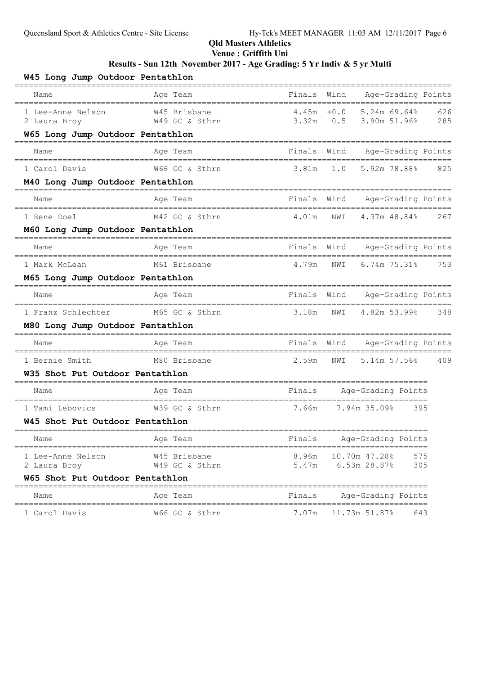| W45 Long Jump Outdoor Pentathlon                                  |                                       |                      |               |                                                        |     |            |
|-------------------------------------------------------------------|---------------------------------------|----------------------|---------------|--------------------------------------------------------|-----|------------|
| Name                                                              | Age Team                              | Finals               | Wind          | Age-Grading Points                                     |     |            |
| 1 Lee-Anne Nelson<br>2 Laura Broy                                 | W45 Brisbane<br>W49 GC & Sthrn        | 4.45m<br>3.32m       | $+0.0$<br>0.5 | $5.24m$ 69.64%<br>3.90m 51.96%                         |     | 626<br>285 |
| W65 Long Jump Outdoor Pentathlon                                  |                                       |                      |               |                                                        |     |            |
| Name<br>___________________________                               | Age Team<br>_________________________ | Finals Wind<br>_____ |               | Age-Grading Points<br>_________                        |     |            |
| 1 Carol Davis                                                     | W66 GC & Sthrn                        | 3.81m                | 1.0           | 5.92m 78.88%                                           |     | 825        |
| M40 Long Jump Outdoor Pentathlon                                  |                                       |                      |               |                                                        |     |            |
| Name                                                              | Age Team                              | Finals Wind          |               | Age-Grading Points                                     |     |            |
| 1 Rene Doel                                                       | M42 GC & Sthrn                        | 4.01m                | NWI           | 4.37m 48.84%                                           |     | 267        |
| M60 Long Jump Outdoor Pentathlon                                  |                                       |                      |               |                                                        |     |            |
| Name                                                              | Age Team                              | Finals Wind          |               | Age-Grading Points                                     |     |            |
| 1 Mark McLean                                                     | M61 Brisbane                          | 4.79m                | NWI           | 6.74m 75.31%                                           |     | 753        |
| M65 Long Jump Outdoor Pentathlon                                  |                                       |                      |               |                                                        |     |            |
| Name                                                              | Age Team                              | Finals Wind          |               | Age-Grading Points                                     |     |            |
| 1 Franz Schlechter                                                | M65 GC & Sthrn                        | 3.18m                | NWI           | 4.82m 53.99%                                           |     | 348        |
| M80 Long Jump Outdoor Pentathlon                                  |                                       |                      |               |                                                        |     |            |
| Name                                                              | Age Team                              | Finals Wind          |               | Age-Grading Points                                     |     |            |
| 1 Bernie Smith                                                    | M80 Brisbane                          | 2.59m                | NWI           | 5.14m 57.56%                                           |     | 409        |
| W35 Shot Put Outdoor Pentathlon                                   |                                       |                      |               |                                                        |     |            |
| Name                                                              | Age Team                              | Finals               |               | Age-Grading Points                                     |     |            |
| 1 Tami Lebovics                                                   | W39 GC & Sthrn                        | 7.66m                |               | 7.94m 35.09%                                           | 395 |            |
| W45 Shot Put Outdoor Pentathlon<br>============================== |                                       |                      |               | =================                                      |     |            |
| Name                                                              | Age Team                              | Finals               |               | Age-Grading Points                                     |     |            |
| 1 Lee-Anne Nelson                                                 | W45 Brisbane                          | 8.96m                |               | 10.70m 47.28%                                          | 575 |            |
| 2 Laura Broy<br>W65 Shot Put Outdoor Pentathlon                   | W49 GC & Sthrn                        | 5.47m                |               | 6.53m 28.87%                                           | 305 |            |
| Name                                                              | ======================<br>Age Team    | Finals               |               | ________________________________<br>Age-Grading Points |     |            |
|                                                                   |                                       |                      |               |                                                        |     |            |
| 1 Carol Davis                                                     | W66 GC & Sthrn                        | 7.07m                |               | 11.73m 51.87%                                          | 643 |            |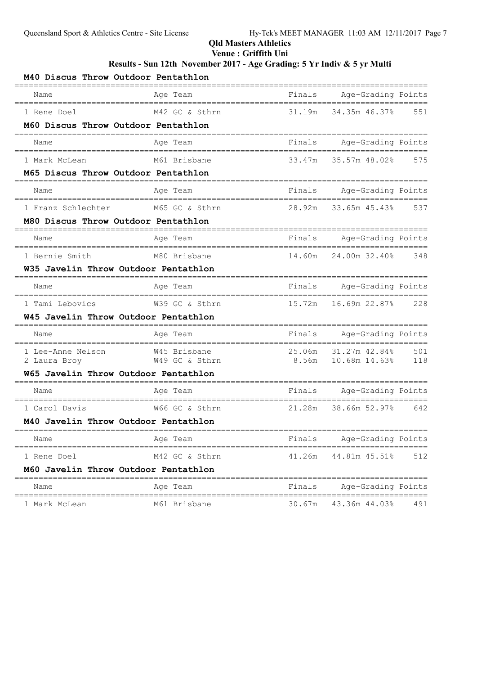| M40 Discus Throw Outdoor Pentathlon                                         |                |        |                    |     |
|-----------------------------------------------------------------------------|----------------|--------|--------------------|-----|
| Name                                                                        | Age Team       | Finals | Age-Grading Points |     |
| 1 Rene Doel                                                                 | M42 GC & Sthrn | 31.19m | 34.35m 46.37%      | 551 |
| M60 Discus Throw Outdoor Pentathlon                                         |                |        |                    |     |
| Name                                                                        | Age Team       | Finals | Age-Grading Points |     |
| 1 Mark McLean                                                               | M61 Brisbane   | 33.47m | 35.57m 48.02%      | 575 |
| M65 Discus Throw Outdoor Pentathlon                                         |                |        |                    |     |
| Name                                                                        | Age Team       | Finals | Age-Grading Points |     |
| 1 Franz Schlechter                                                          | M65 GC & Sthrn | 28.92m | 33.65m 45.43%      | 537 |
| M80 Discus Throw Outdoor Pentathlon                                         |                |        |                    |     |
| Name                                                                        | Age Team       | Finals | Age-Grading Points |     |
| 1 Bernie Smith                                                              | M80 Brisbane   | 14.60m | 24.00m 32.40%      | 348 |
| W35 Javelin Throw Outdoor Pentathlon                                        |                |        |                    |     |
| Name                                                                        | Age Team       | Finals | Age-Grading Points |     |
| 1 Tami Lebovics                                                             | W39 GC & Sthrn | 15.72m | 16.69m 22.87%      | 228 |
| W45 Javelin Throw Outdoor Pentathlon                                        |                |        |                    |     |
| Name                                                                        | Age Team       | Finals | Age-Grading Points |     |
| 1 Lee-Anne Nelson                                                           | W45 Brisbane   | 25.06m | 31.27m 42.84%      | 501 |
| 2 Laura Broy                                                                | W49 GC & Sthrn | 8.56m  | 10.68m 14.63%      | 118 |
| W65 Javelin Throw Outdoor Pentathlon                                        |                |        |                    |     |
| Name                                                                        | Age Team       | Finals | Age-Grading Points |     |
| 1 Carol Davis                                                               | W66 GC & Sthrn | 21.28m | 38.66m 52.97%      | 642 |
| M40 Javelin Throw Outdoor Pentathlon<br>=================================== |                |        |                    |     |
| Name                                                                        | Age Team       | Finals | Age-Grading Points |     |
| 1 Rene Doel                                                                 | M42 GC & Sthrn | 41.26m | 44.81m 45.51%      | 512 |
| M60 Javelin Throw Outdoor Pentathlon                                        |                |        |                    |     |
| Name                                                                        | Age Team       | Finals | Age-Grading Points |     |
| 1 Mark McLean                                                               | M61 Brisbane   | 30.67m | 43.36m 44.03%      | 491 |